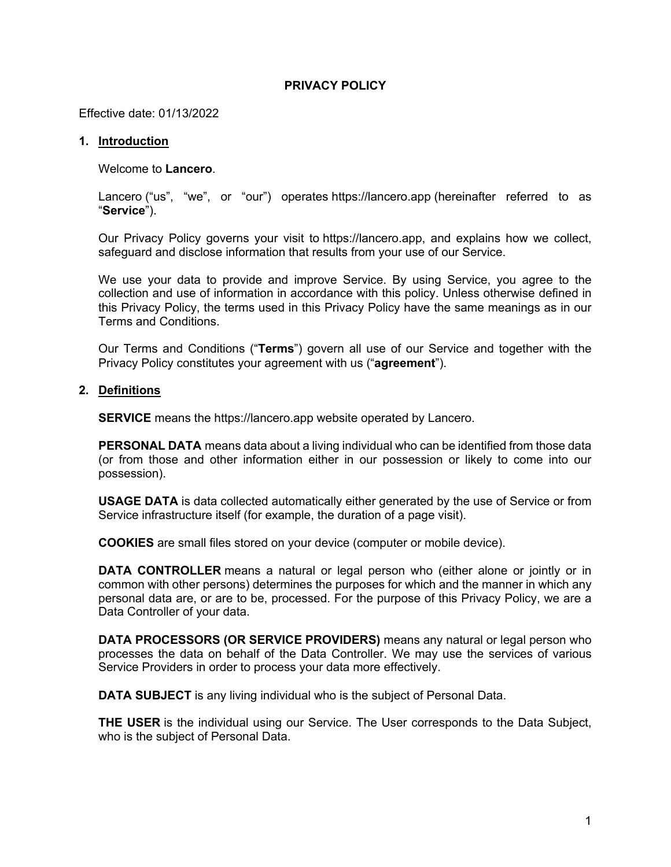# **PRIVACY POLICY**

Effective date: 01/13/2022

## **1. Introduction**

Welcome to **Lancero**.

Lancero ("us", "we", or "our") operates https://lancero.app (hereinafter referred to as "**Service**").

Our Privacy Policy governs your visit to https://lancero.app, and explains how we collect, safeguard and disclose information that results from your use of our Service.

We use your data to provide and improve Service. By using Service, you agree to the collection and use of information in accordance with this policy. Unless otherwise defined in this Privacy Policy, the terms used in this Privacy Policy have the same meanings as in our Terms and Conditions.

Our Terms and Conditions ("**Terms**") govern all use of our Service and together with the Privacy Policy constitutes your agreement with us ("**agreement**").

# **2. Definitions**

**SERVICE** means the https://lancero.app website operated by Lancero.

**PERSONAL DATA** means data about a living individual who can be identified from those data (or from those and other information either in our possession or likely to come into our possession).

**USAGE DATA** is data collected automatically either generated by the use of Service or from Service infrastructure itself (for example, the duration of a page visit).

**COOKIES** are small files stored on your device (computer or mobile device).

**DATA CONTROLLER** means a natural or legal person who (either alone or jointly or in common with other persons) determines the purposes for which and the manner in which any personal data are, or are to be, processed. For the purpose of this Privacy Policy, we are a Data Controller of your data.

**DATA PROCESSORS (OR SERVICE PROVIDERS)** means any natural or legal person who processes the data on behalf of the Data Controller. We may use the services of various Service Providers in order to process your data more effectively.

**DATA SUBJECT** is any living individual who is the subject of Personal Data.

**THE USER** is the individual using our Service. The User corresponds to the Data Subject, who is the subject of Personal Data.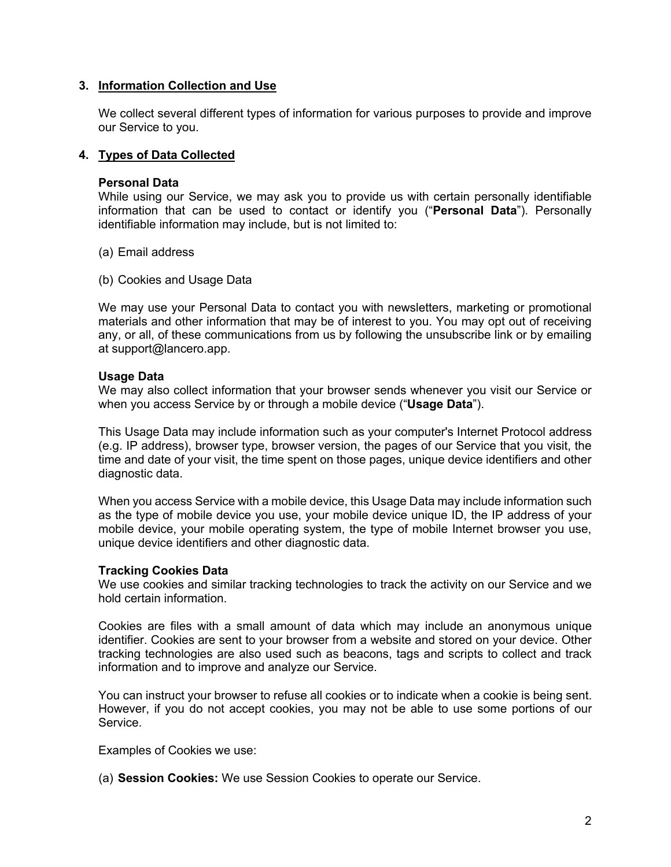# **3. Information Collection and Use**

We collect several different types of information for various purposes to provide and improve our Service to you.

# **4. Types of Data Collected**

## **Personal Data**

While using our Service, we may ask you to provide us with certain personally identifiable information that can be used to contact or identify you ("**Personal Data**"). Personally identifiable information may include, but is not limited to:

- (a) Email address
- (b) Cookies and Usage Data

We may use your Personal Data to contact you with newsletters, marketing or promotional materials and other information that may be of interest to you. You may opt out of receiving any, or all, of these communications from us by following the unsubscribe link or by emailing at support@lancero.app.

## **Usage Data**

We may also collect information that your browser sends whenever you visit our Service or when you access Service by or through a mobile device ("**Usage Data**").

This Usage Data may include information such as your computer's Internet Protocol address (e.g. IP address), browser type, browser version, the pages of our Service that you visit, the time and date of your visit, the time spent on those pages, unique device identifiers and other diagnostic data.

When you access Service with a mobile device, this Usage Data may include information such as the type of mobile device you use, your mobile device unique ID, the IP address of your mobile device, your mobile operating system, the type of mobile Internet browser you use, unique device identifiers and other diagnostic data.

## **Tracking Cookies Data**

We use cookies and similar tracking technologies to track the activity on our Service and we hold certain information.

Cookies are files with a small amount of data which may include an anonymous unique identifier. Cookies are sent to your browser from a website and stored on your device. Other tracking technologies are also used such as beacons, tags and scripts to collect and track information and to improve and analyze our Service.

You can instruct your browser to refuse all cookies or to indicate when a cookie is being sent. However, if you do not accept cookies, you may not be able to use some portions of our Service.

Examples of Cookies we use:

(a) **Session Cookies:** We use Session Cookies to operate our Service.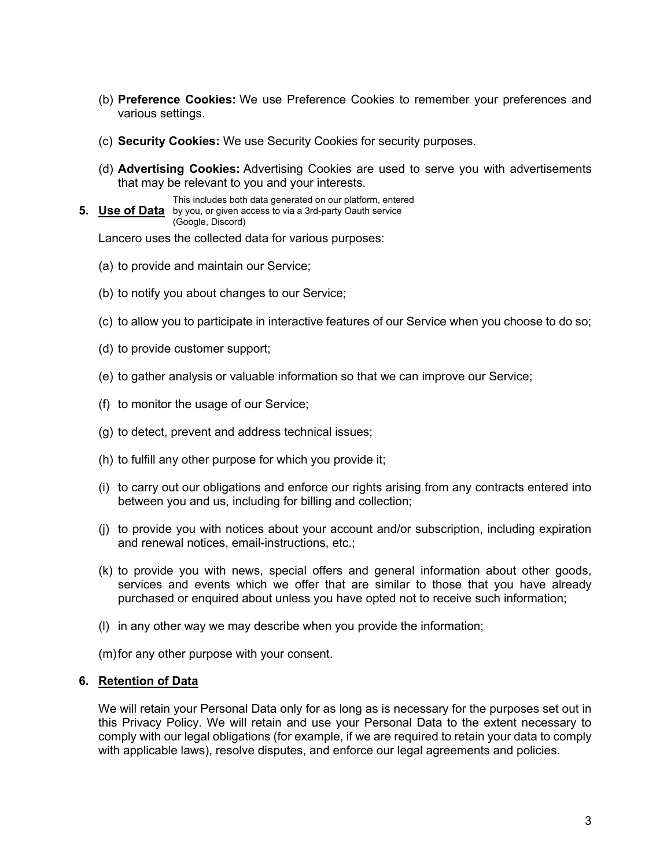- (b) **Preference Cookies:** We use Preference Cookies to remember your preferences and various settings.
- (c) **Security Cookies:** We use Security Cookies for security purposes.
- (d) **Advertising Cookies:** Advertising Cookies are used to serve you with advertisements that may be relevant to you and your interests.
- 5. **Use of Data** by you, or given access to via a 3rd-party Oauth service This includes both data generated on our platform, entered (Google, Discord)

Lancero uses the collected data for various purposes:

- (a) to provide and maintain our Service;
- (b) to notify you about changes to our Service;
- (c) to allow you to participate in interactive features of our Service when you choose to do so;
- (d) to provide customer support;
- (e) to gather analysis or valuable information so that we can improve our Service;
- (f) to monitor the usage of our Service;
- (g) to detect, prevent and address technical issues;
- (h) to fulfill any other purpose for which you provide it;
- (i) to carry out our obligations and enforce our rights arising from any contracts entered into between you and us, including for billing and collection;
- (j) to provide you with notices about your account and/or subscription, including expiration and renewal notices, email-instructions, etc.;
- (k) to provide you with news, special offers and general information about other goods, services and events which we offer that are similar to those that you have already purchased or enquired about unless you have opted not to receive such information;
- (l) in any other way we may describe when you provide the information;

(m)for any other purpose with your consent.

## **6. Retention of Data**

We will retain your Personal Data only for as long as is necessary for the purposes set out in this Privacy Policy. We will retain and use your Personal Data to the extent necessary to comply with our legal obligations (for example, if we are required to retain your data to comply with applicable laws), resolve disputes, and enforce our legal agreements and policies.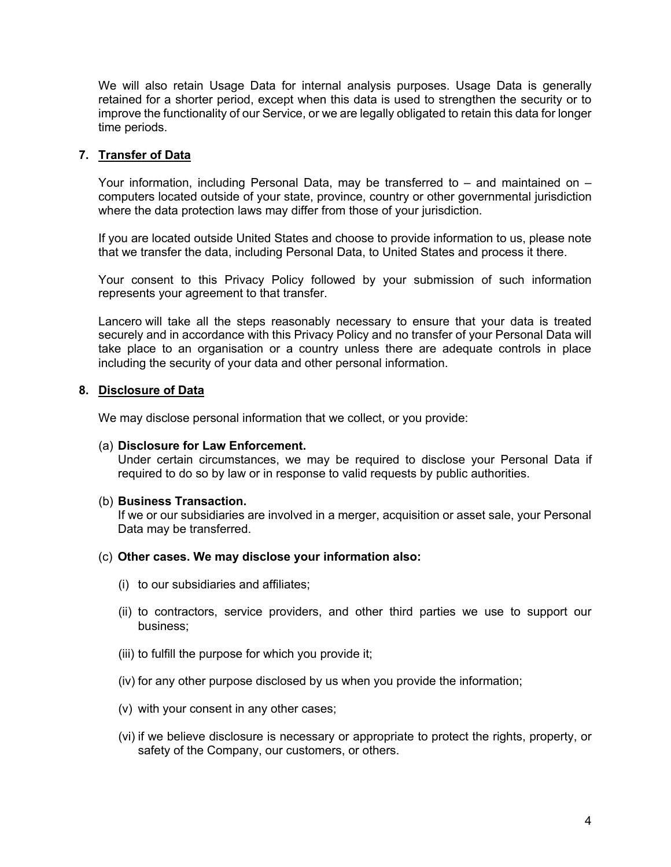We will also retain Usage Data for internal analysis purposes. Usage Data is generally retained for a shorter period, except when this data is used to strengthen the security or to improve the functionality of our Service, or we are legally obligated to retain this data for longer time periods.

# **7. Transfer of Data**

Your information, including Personal Data, may be transferred to  $-$  and maintained on  $$ computers located outside of your state, province, country or other governmental jurisdiction where the data protection laws may differ from those of your jurisdiction.

If you are located outside United States and choose to provide information to us, please note that we transfer the data, including Personal Data, to United States and process it there.

Your consent to this Privacy Policy followed by your submission of such information represents your agreement to that transfer.

Lancero will take all the steps reasonably necessary to ensure that your data is treated securely and in accordance with this Privacy Policy and no transfer of your Personal Data will take place to an organisation or a country unless there are adequate controls in place including the security of your data and other personal information.

## **8. Disclosure of Data**

We may disclose personal information that we collect, or you provide:

## (a) **Disclosure for Law Enforcement.**

Under certain circumstances, we may be required to disclose your Personal Data if required to do so by law or in response to valid requests by public authorities.

## (b) **Business Transaction.**

If we or our subsidiaries are involved in a merger, acquisition or asset sale, your Personal Data may be transferred.

## (c) **Other cases. We may disclose your information also:**

- (i) to our subsidiaries and affiliates;
- (ii) to contractors, service providers, and other third parties we use to support our business;
- (iii) to fulfill the purpose for which you provide it;
- (iv) for any other purpose disclosed by us when you provide the information;
- (v) with your consent in any other cases;
- (vi) if we believe disclosure is necessary or appropriate to protect the rights, property, or safety of the Company, our customers, or others.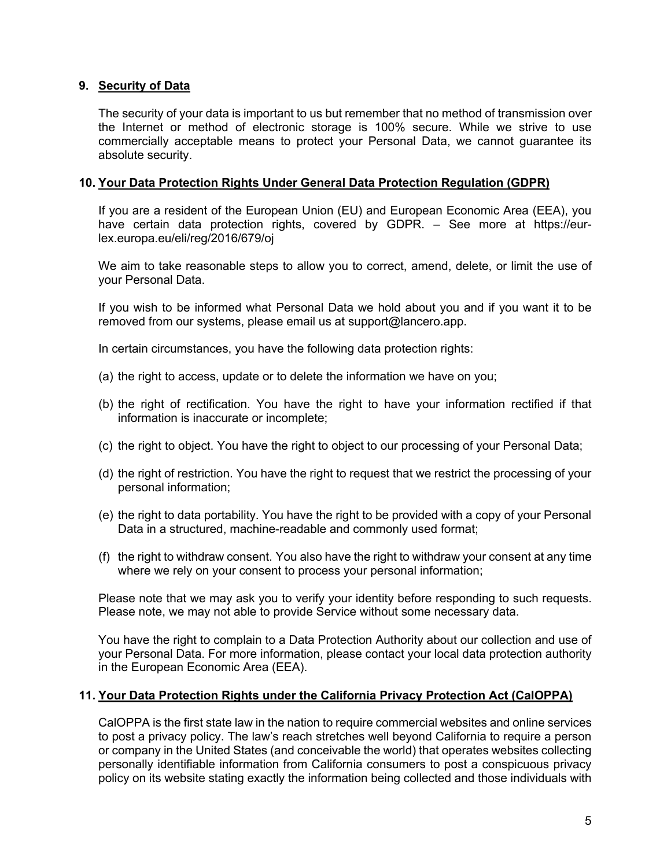# **9. Security of Data**

The security of your data is important to us but remember that no method of transmission over the Internet or method of electronic storage is 100% secure. While we strive to use commercially acceptable means to protect your Personal Data, we cannot guarantee its absolute security.

# **10. Your Data Protection Rights Under General Data Protection Regulation (GDPR)**

If you are a resident of the European Union (EU) and European Economic Area (EEA), you have certain data protection rights, covered by GDPR. – See more at https://eurlex.europa.eu/eli/reg/2016/679/oj

We aim to take reasonable steps to allow you to correct, amend, delete, or limit the use of your Personal Data.

If you wish to be informed what Personal Data we hold about you and if you want it to be removed from our systems, please email us at support@lancero.app.

- In certain circumstances, you have the following data protection rights:
- (a) the right to access, update or to delete the information we have on you;
- (b) the right of rectification. You have the right to have your information rectified if that information is inaccurate or incomplete;
- (c) the right to object. You have the right to object to our processing of your Personal Data;
- (d) the right of restriction. You have the right to request that we restrict the processing of your personal information;
- (e) the right to data portability. You have the right to be provided with a copy of your Personal Data in a structured, machine-readable and commonly used format;
- (f) the right to withdraw consent. You also have the right to withdraw your consent at any time where we rely on your consent to process your personal information;

Please note that we may ask you to verify your identity before responding to such requests. Please note, we may not able to provide Service without some necessary data.

You have the right to complain to a Data Protection Authority about our collection and use of your Personal Data. For more information, please contact your local data protection authority in the European Economic Area (EEA).

## **11. Your Data Protection Rights under the California Privacy Protection Act (CalOPPA)**

CalOPPA is the first state law in the nation to require commercial websites and online services to post a privacy policy. The law's reach stretches well beyond California to require a person or company in the United States (and conceivable the world) that operates websites collecting personally identifiable information from California consumers to post a conspicuous privacy policy on its website stating exactly the information being collected and those individuals with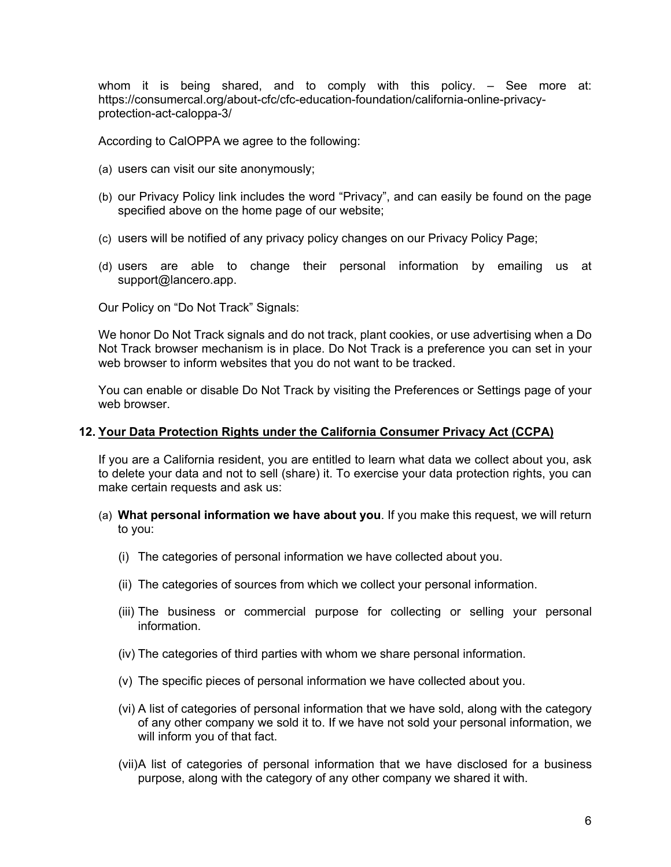whom it is being shared, and to comply with this policy. – See more at: https://consumercal.org/about-cfc/cfc-education-foundation/california-online-privacyprotection-act-caloppa-3/

According to CalOPPA we agree to the following:

- (a) users can visit our site anonymously;
- (b) our Privacy Policy link includes the word "Privacy", and can easily be found on the page specified above on the home page of our website;
- (c) users will be notified of any privacy policy changes on our Privacy Policy Page;
- (d) users are able to change their personal information by emailing us at support@lancero.app.

Our Policy on "Do Not Track" Signals:

We honor Do Not Track signals and do not track, plant cookies, or use advertising when a Do Not Track browser mechanism is in place. Do Not Track is a preference you can set in your web browser to inform websites that you do not want to be tracked.

You can enable or disable Do Not Track by visiting the Preferences or Settings page of your web browser.

## **12. Your Data Protection Rights under the California Consumer Privacy Act (CCPA)**

If you are a California resident, you are entitled to learn what data we collect about you, ask to delete your data and not to sell (share) it. To exercise your data protection rights, you can make certain requests and ask us:

- (a) **What personal information we have about you**. If you make this request, we will return to you:
	- (i) The categories of personal information we have collected about you.
	- (ii) The categories of sources from which we collect your personal information.
	- (iii) The business or commercial purpose for collecting or selling your personal information.
	- (iv) The categories of third parties with whom we share personal information.
	- (v) The specific pieces of personal information we have collected about you.
	- (vi) A list of categories of personal information that we have sold, along with the category of any other company we sold it to. If we have not sold your personal information, we will inform you of that fact.
	- (vii)A list of categories of personal information that we have disclosed for a business purpose, along with the category of any other company we shared it with.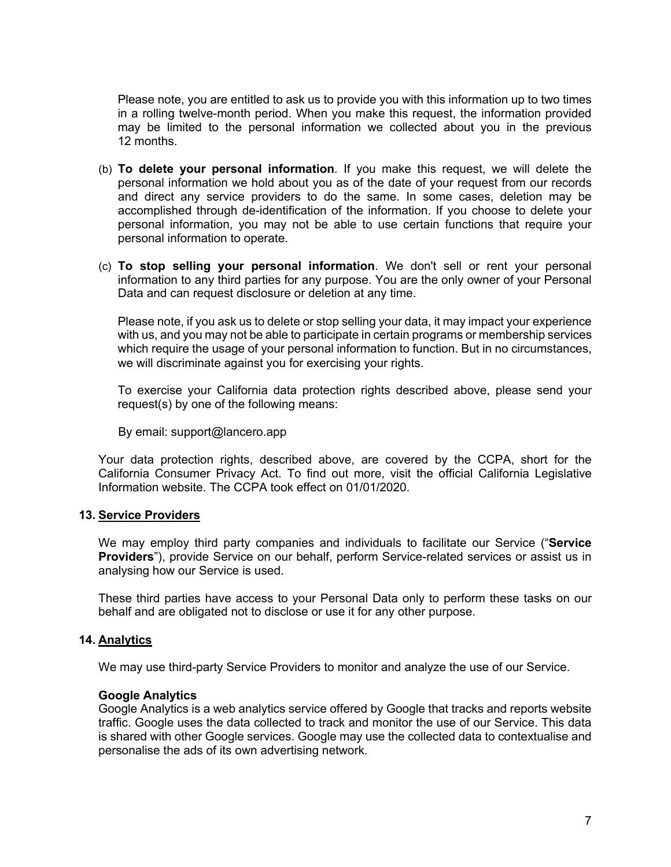Please note, you are entitled to ask us to provide you with this information up to two times in a rolling twelve-month period. When you make this request, the information provided may be limited to the personal information we collected about you in the previous 12 months.

- (b) **To delete your personal information**. If you make this request, we will delete the personal information we hold about you as of the date of your request from our records and direct any service providers to do the same. In some cases, deletion may be accomplished through de-identification of the information. If you choose to delete your personal information, you may not be able to use certain functions that require your personal information to operate.
- (c) **To stop selling your personal information**. We don't sell or rent your personal information to any third parties for any purpose. You are the only owner of your Personal Data and can request disclosure or deletion at any time.

Please note, if you ask us to delete or stop selling your data, it may impact your experience with us, and you may not be able to participate in certain programs or membership services which require the usage of your personal information to function. But in no circumstances, we will discriminate against you for exercising your rights.

To exercise your California data protection rights described above, please send your request(s) by one of the following means:

By email: support@lancero.app

Your data protection rights, described above, are covered by the CCPA, short for the California Consumer Privacy Act. To find out more, visit the official California Legislative Information website. The CCPA took effect on 01/01/2020.

## **13. Service Providers**

We may employ third party companies and individuals to facilitate our Service ("**Service Providers**"), provide Service on our behalf, perform Service-related services or assist us in analysing how our Service is used.

These third parties have access to your Personal Data only to perform these tasks on our behalf and are obligated not to disclose or use it for any other purpose.

## **14. Analytics**

We may use third-party Service Providers to monitor and analyze the use of our Service.

## **Google Analytics**

Google Analytics is a web analytics service offered by Google that tracks and reports website traffic. Google uses the data collected to track and monitor the use of our Service. This data is shared with other Google services. Google may use the collected data to contextualise and personalise the ads of its own advertising network.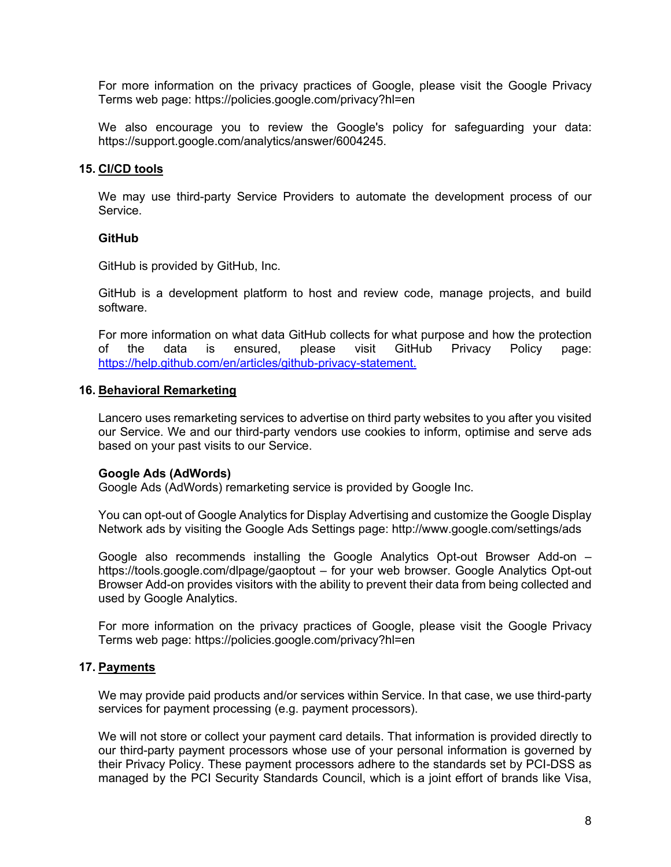For more information on the privacy practices of Google, please visit the Google Privacy Terms web page: https://policies.google.com/privacy?hl=en

We also encourage you to review the Google's policy for safeguarding your data: https://support.google.com/analytics/answer/6004245.

## **15. CI/CD tools**

We may use third-party Service Providers to automate the development process of our Service.

## **GitHub**

GitHub is provided by GitHub, Inc.

GitHub is a development platform to host and review code, manage projects, and build software.

For more information on what data GitHub collects for what purpose and how the protection of the data is ensured, please visit GitHub Privacy Policy page: https://help.github.com/en/articles/github-privacy-statement.

# **16. Behavioral Remarketing**

Lancero uses remarketing services to advertise on third party websites to you after you visited our Service. We and our third-party vendors use cookies to inform, optimise and serve ads based on your past visits to our Service.

## **Google Ads (AdWords)**

Google Ads (AdWords) remarketing service is provided by Google Inc.

You can opt-out of Google Analytics for Display Advertising and customize the Google Display Network ads by visiting the Google Ads Settings page: http://www.google.com/settings/ads

Google also recommends installing the Google Analytics Opt-out Browser Add-on – https://tools.google.com/dlpage/gaoptout – for your web browser. Google Analytics Opt-out Browser Add-on provides visitors with the ability to prevent their data from being collected and used by Google Analytics.

For more information on the privacy practices of Google, please visit the Google Privacy Terms web page: https://policies.google.com/privacy?hl=en

## **17. Payments**

We may provide paid products and/or services within Service. In that case, we use third-party services for payment processing (e.g. payment processors).

We will not store or collect your payment card details. That information is provided directly to our third-party payment processors whose use of your personal information is governed by their Privacy Policy. These payment processors adhere to the standards set by PCI-DSS as managed by the PCI Security Standards Council, which is a joint effort of brands like Visa,